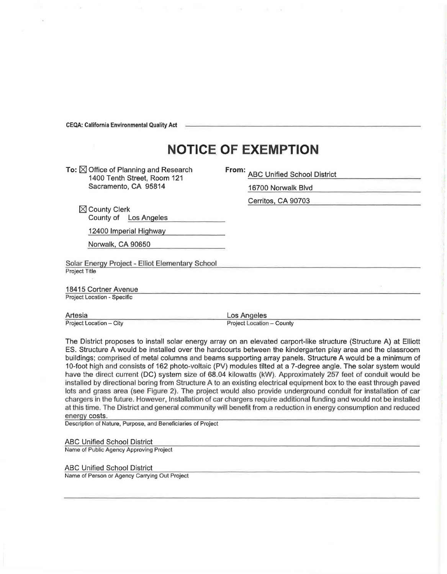**CEQA: California Environmental Quality Act** 

## **NOTICE OF EXEMPTION**

To:  $\boxtimes$  Office of Planning and Research 1400 Tenth Street, Room 121 Sacramento, CA 95814

| . | <b>ABC Unified School District</b> |  |
|---|------------------------------------|--|
|   | 16700 Norwalk Blvd                 |  |
|   | Cerritos, CA 90703                 |  |

 $\boxtimes$  County Clerk County of Los Angeles

12400 Imperial Highway

Norwalk, CA 90650

Solar Energy Project - Elliot Elementary School Project Title

18415 Cortner Avenue Project Location - Specific

Artesia Project Location - City Los Angeles

Project Location - County

The District proposes to install solar energy array on an elevated carport-like structure (Structure A) at Elliott ES. Structure A would be installed over the hardcourts between the kindergarten play area and the classroom buildings; comprised of metal columns and beams supporting array panels. Structure A would be a minimum of 10-foot high and consists of 162 photo-voltaic (PV) modules tilted at a ?-degree angle. The solar system would have the direct current (DC) system size of 68.04 kilowatts (kW). Approximately 257 feet of conduit would be installed by directional boring from Structure A to an existing electrical equipment box to the east through paved lots and grass area (see Figure 2). The project would also provide underground conduit for installation of car chargers in the future. However, Installation of car chargers require additional funding and would not be installed at this time. The District and general community will benefit from a reduction in energy consumption and reduced energy costs.

Description of Nature, Purpose, and Beneficiaries of Project

## ABC Unified School District

Name of Public Agency Approving Project

## ABC Unified School District

Name of Person or Agency Carrying Out Project